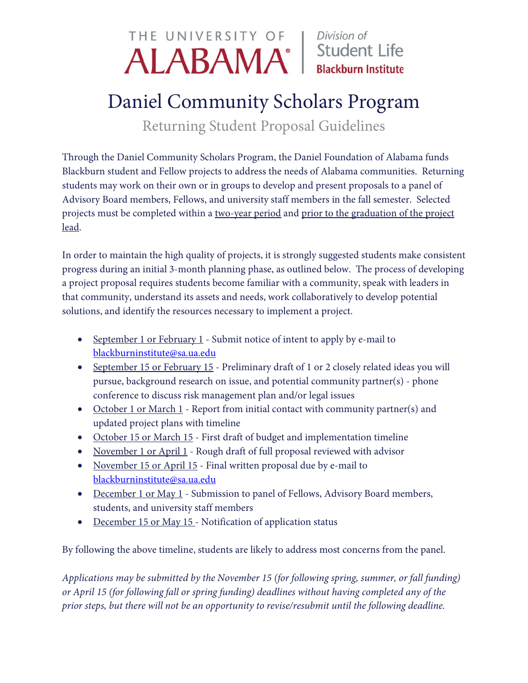## THE UNIVERSITY OF Division of ALABAMA<sup>®</sup> | Student Life

## Daniel Community Scholars Program

Returning Student Proposal Guidelines

Through the Daniel Community Scholars Program, the Daniel Foundation of Alabama funds Blackburn student and Fellow projects to address the needs of Alabama communities. Returning students may work on their own or in groups to develop and present proposals to a panel of Advisory Board members, Fellows, and university staff members in the fall semester. Selected projects must be completed within a two-year period and prior to the graduation of the project lead.

In order to maintain the high quality of projects, it is strongly suggested students make consistent progress during an initial 3-month planning phase, as outlined below. The process of developing a project proposal requires students become familiar with a community, speak with leaders in that community, understand its assets and needs, work collaboratively to develop potential solutions, and identify the resources necessary to implement a project.

- September 1 or February 1 Submit notice of intent to apply by e-mail to [blackburninstitute@sa.ua.edu](mailto:blackburninstitute@sa.ua.edu)
- September 15 or February 15 Preliminary draft of 1 or 2 closely related ideas you will pursue, background research on issue, and potential community partner(s) - phone conference to discuss risk management plan and/or legal issues
- October 1 or March 1 Report from initial contact with community partner(s) and updated project plans with timeline
- October 15 or March 15 First draft of budget and implementation timeline
- November 1 or April 1 Rough draft of full proposal reviewed with advisor
- November 15 or April 15 Final written proposal due by e-mail to [blackburninstitute@sa.ua.edu](mailto:blackburninstitute@sa.ua.edu)
- December 1 or May 1 Submission to panel of Fellows, Advisory Board members, students, and university staff members
- December 15 or May 15 Notification of application status

By following the above timeline, students are likely to address most concerns from the panel.

*Applications may be submitted by the November 15 (for following spring, summer, or fall funding) or April 15 (for following fall or spring funding) deadlines without having completed any of the prior steps, but there will not be an opportunity to revise/resubmit until the following deadline.*